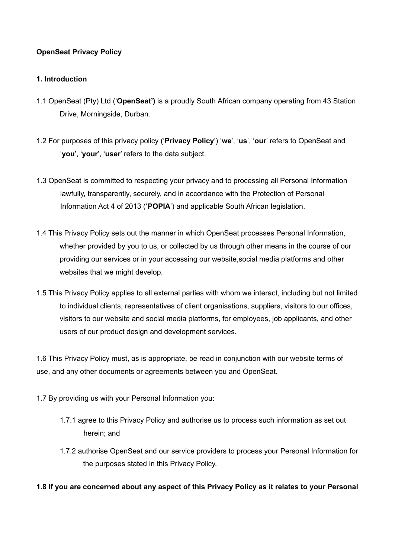# **OpenSeat Privacy Policy**

# **1. Introduction**

- 1.1 OpenSeat (Pty) Ltd ('**OpenSeat')** is a proudly South African company operating from 43 Station Drive, Morningside, Durban.
- 1.2 For purposes of this privacy policy ('**Privacy Policy**') '**we**', '**us**', '**our**' refers to OpenSeat and '**you**', '**your**', '**user**' refers to the data subject.
- 1.3 OpenSeat is committed to respecting your privacy and to processing all Personal Information lawfully, transparently, securely, and in accordance with the Protection of Personal Information Act 4 of 2013 ('**POPIA**') and applicable South African legislation.
- 1.4 This Privacy Policy sets out the manner in which OpenSeat processes Personal Information, whether provided by you to us, or collected by us through other means in the course of our providing our services or in your accessing our website,social media platforms and other websites that we might develop.
- 1.5 This Privacy Policy applies to all external parties with whom we interact, including but not limited to individual clients, representatives of client organisations, suppliers, visitors to our offices, visitors to our website and social media platforms, for employees, job applicants, and other users of our product design and development services.

1.6 This Privacy Policy must, as is appropriate, be read in conjunction with our website terms of use, and any other documents or agreements between you and OpenSeat.

- 1.7 By providing us with your Personal Information you:
	- 1.7.1 agree to this Privacy Policy and authorise us to process such information as set out herein; and
	- 1.7.2 authorise OpenSeat and our service providers to process your Personal Information for the purposes stated in this Privacy Policy.

## **1.8 If you are concerned about any aspect of this Privacy Policy as it relates to your Personal**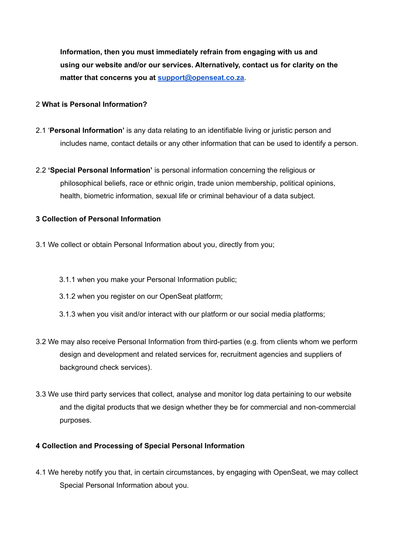**Information, then you must immediately refrain from engaging with us and using our website and/or our services. Alternatively, contact us for clarity on the matter that concerns you at support@openseat.co.za**.

# 2 **What is Personal Information?**

- 2.1 '**Personal Information'** is any data relating to an identifiable living or juristic person and includes name, contact details or any other information that can be used to identify a person.
- 2.2 **'Special Personal Information'** is personal information concerning the religious or philosophical beliefs, race or ethnic origin, trade union membership, political opinions, health, biometric information, sexual life or criminal behaviour of a data subject.

# **3 Collection of Personal Information**

- 3.1 We collect or obtain Personal Information about you, directly from you;
	- 3.1.1 when you make your Personal Information public;
	- 3.1.2 when you register on our OpenSeat platform;
	- 3.1.3 when you visit and/or interact with our platform or our social media platforms;
- 3.2 We may also receive Personal Information from third-parties (e.g. from clients whom we perform design and development and related services for, recruitment agencies and suppliers of background check services).
- 3.3 We use third party services that collect, analyse and monitor log data pertaining to our website and the digital products that we design whether they be for commercial and non-commercial purposes.

## **4 Collection and Processing of Special Personal Information**

4.1 We hereby notify you that, in certain circumstances, by engaging with OpenSeat, we may collect Special Personal Information about you.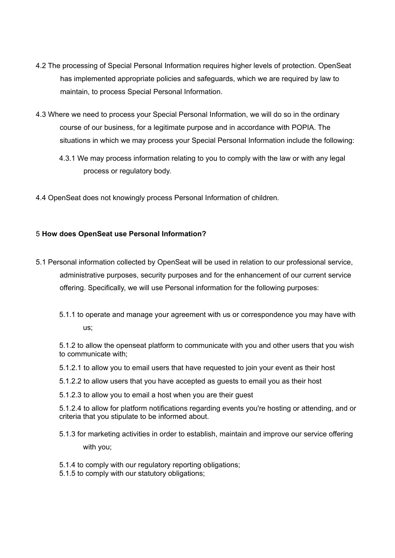- 4.2 The processing of Special Personal Information requires higher levels of protection. OpenSeat has implemented appropriate policies and safeguards, which we are required by law to maintain, to process Special Personal Information.
- 4.3 Where we need to process your Special Personal Information, we will do so in the ordinary course of our business, for a legitimate purpose and in accordance with POPIA. The situations in which we may process your Special Personal Information include the following:
	- 4.3.1 We may process information relating to you to comply with the law or with any legal process or regulatory body.
- 4.4 OpenSeat does not knowingly process Personal Information of children.

# 5 **How does OpenSeat use Personal Information?**

- 5.1 Personal information collected by OpenSeat will be used in relation to our professional service, administrative purposes, security purposes and for the enhancement of our current service offering. Specifically, we will use Personal information for the following purposes:
	- 5.1.1 to operate and manage your agreement with us or correspondence you may have with us;

5.1.2 to allow the openseat platform to communicate with you and other users that you wish to communicate with;

- 5.1.2.1 to allow you to email users that have requested to join your event as their host
- 5.1.2.2 to allow users that you have accepted as guests to email you as their host
- 5.1.2.3 to allow you to email a host when you are their guest

5.1.2.4 to allow for platform notifications regarding events you're hosting or attending, and or criteria that you stipulate to be informed about.

- 5.1.3 for marketing activities in order to establish, maintain and improve our service offering with you;
- 5.1.4 to comply with our regulatory reporting obligations;
- 5.1.5 to comply with our statutory obligations;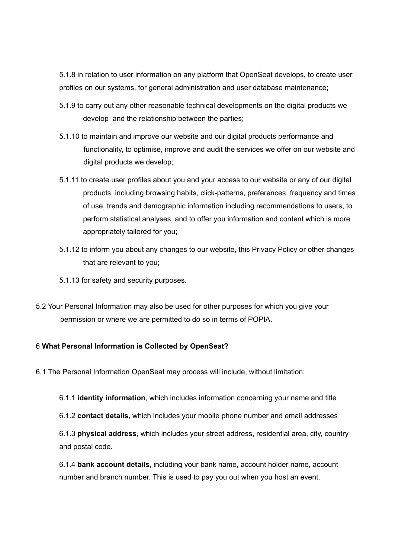5.1.8 in relation to user information on any platform that OpenSeat develops, to create user profiles on our systems, for general administration and user database maintenance;

- 5.1.9 to carry out any other reasonable technical developments on the digital products we develop and the relationship between the parties;
- 5.1.10 to maintain and improve our website and our digital products performance and functionality, to optimise, improve and audit the services we offer on our website and digital products we develop;
- 5.1.11 to create user profiles about you and your access to our website or any of our digital products, including browsing habits, click-patterns, preferences, frequency and times of use, trends and demographic information including recommendations to users, to perform statistical analyses, and to offer you information and content which is more appropriately tailored for you;
- 5.1.12 to inform you about any changes to our website, this Privacy Policy or other changes that are relevant to you;
- 5.1.13 for safety and security purposes.
- 5.2 Your Personal Information may also be used for other purposes for which you give your permission or where we are permitted to do so in terms of POPIA.

# 6 **What Personal Information is Collected by OpenSeat?**

- 6.1 The Personal Information OpenSeat may process will include, without limitation:
	- 6.1.1 **identity information**, which includes information concerning your name and title
	- 6.1.2 **contact details**, which includes your mobile phone number and email addresses

6.1.3 **physical address**, which includes your street address, residential area, city, country and postal code.

6.1.4 **bank account details**, including your bank name, account holder name, account number and branch number. This is used to pay you out when you host an event.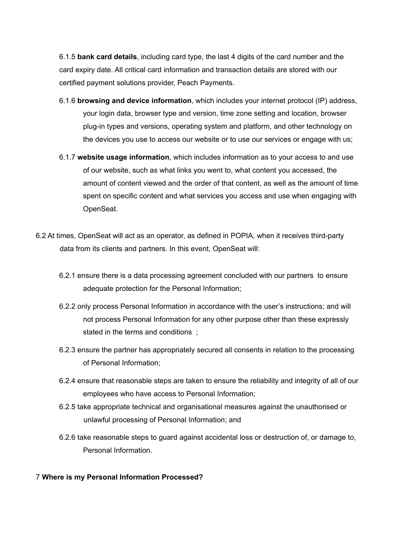6.1.5 **bank card details**, including card type, the last 4 digits of the card number and the card expiry date. All critical card information and transaction details are stored with our certified payment solutions provider, Peach Payments.

- 6.1.6 **browsing and device information**, which includes your internet protocol (IP) address, your login data, browser type and version, time zone setting and location, browser plug-in types and versions, operating system and platform, and other technology on the devices you use to access our website or to use our services or engage with us;
- 6.1.7 **website usage information**, which includes information as to your access to and use of our website, such as what links you went to, what content you accessed, the amount of content viewed and the order of that content, as well as the amount of time spent on specific content and what services you access and use when engaging with OpenSeat.
- 6.2 At times, OpenSeat will act as an operator, as defined in POPIA, when it receives third-party data from its clients and partners. In this event, OpenSeat will:
	- 6.2.1 ensure there is a data processing agreement concluded with our partners to ensure adequate protection for the Personal Information;
	- 6.2.2 only process Personal Information in accordance with the user's instructions; and will not process Personal Information for any other purpose other than these expressly stated in the terms and conditions ;
	- 6.2.3 ensure the partner has appropriately secured all consents in relation to the processing of Personal Information;
	- 6.2.4 ensure that reasonable steps are taken to ensure the reliability and integrity of all of our employees who have access to Personal Information;
	- 6.2.5 take appropriate technical and organisational measures against the unauthorised or unlawful processing of Personal Information; and
	- 6.2.6 take reasonable steps to guard against accidental loss or destruction of, or damage to, Personal Information.

## 7 **Where is my Personal Information Processed?**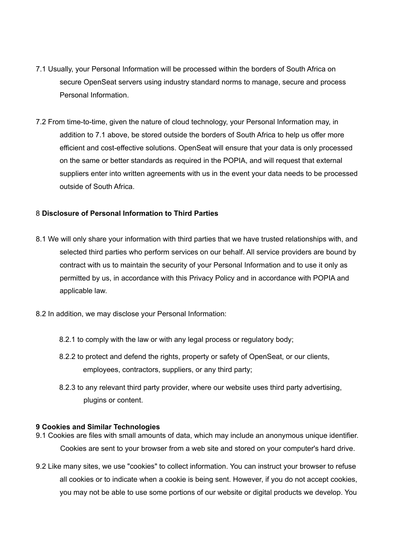- 7.1 Usually, your Personal Information will be processed within the borders of South Africa on secure OpenSeat servers using industry standard norms to manage, secure and process Personal Information.
- 7.2 From time-to-time, given the nature of cloud technology, your Personal Information may, in addition to 7.1 above, be stored outside the borders of South Africa to help us offer more efficient and cost-effective solutions. OpenSeat will ensure that your data is only processed on the same or better standards as required in the POPIA, and will request that external suppliers enter into written agreements with us in the event your data needs to be processed outside of South Africa.

## 8 **Disclosure of Personal Information to Third Parties**

- 8.1 We will only share your information with third parties that we have trusted relationships with, and selected third parties who perform services on our behalf. All service providers are bound by contract with us to maintain the security of your Personal Information and to use it only as permitted by us, in accordance with this Privacy Policy and in accordance with POPIA and applicable law.
- 8.2 In addition, we may disclose your Personal Information:
	- 8.2.1 to comply with the law or with any legal process or regulatory body;
	- 8.2.2 to protect and defend the rights, property or safety of OpenSeat, or our clients, employees, contractors, suppliers, or any third party;
	- 8.2.3 to any relevant third party provider, where our website uses third party advertising, plugins or content.

#### **9 Cookies and Similar Technologies**

- 9.1 Cookies are files with small amounts of data, which may include an anonymous unique identifier. Cookies are sent to your browser from a web site and stored on your computer's hard drive.
- 9.2 Like many sites, we use "cookies" to collect information. You can instruct your browser to refuse all cookies or to indicate when a cookie is being sent. However, if you do not accept cookies, you may not be able to use some portions of our website or digital products we develop. You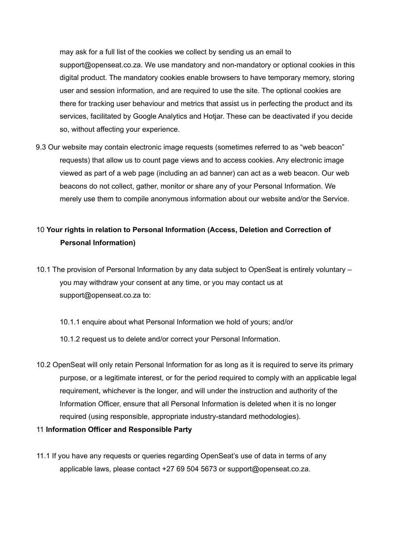may ask for a full list of the cookies we collect by sending us an email to support@openseat.co.za. We use mandatory and non-mandatory or optional cookies in this digital product. The mandatory cookies enable browsers to have temporary memory, storing user and session information, and are required to use the site. The optional cookies are there for tracking user behaviour and metrics that assist us in perfecting the product and its services, facilitated by Google Analytics and Hotjar. These can be deactivated if you decide so, without affecting your experience.

9.3 Our website may contain electronic image requests (sometimes referred to as "web beacon" requests) that allow us to count page views and to access cookies. Any electronic image viewed as part of a web page (including an ad banner) can act as a web beacon. Our web beacons do not collect, gather, monitor or share any of your Personal Information. We merely use them to compile anonymous information about our website and/or the Service.

# 10 **Your rights in relation to Personal Information (Access, Deletion and Correction of Personal Information)**

- 10.1 The provision of Personal Information by any data subject to OpenSeat is entirely voluntary you may withdraw your consent at any time, or you may contact us at support@openseat.co.za to:
	- 10.1.1 enquire about what Personal Information we hold of yours; and/or
	- 10.1.2 request us to delete and/or correct your Personal Information.
- 10.2 OpenSeat will only retain Personal Information for as long as it is required to serve its primary purpose, or a legitimate interest, or for the period required to comply with an applicable legal requirement, whichever is the longer, and will under the instruction and authority of the Information Officer, ensure that all Personal Information is deleted when it is no longer required (using responsible, appropriate industry-standard methodologies).
- 11 **Information Officer and Responsible Party**
- 11.1 If you have any requests or queries regarding OpenSeat's use of data in terms of any applicable laws, please contact +27 69 504 5673 or support@openseat.co.za.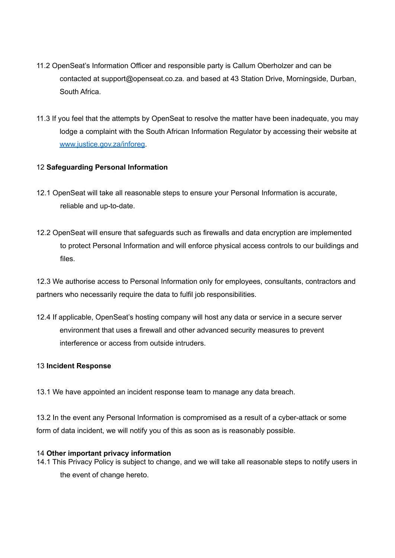- 11.2 OpenSeat's Information Officer and responsible party is Callum Oberholzer and can be contacted at support@openseat.co.za. and based at 43 Station Drive, Morningside, Durban, South Africa.
- 11.3 If you feel that the attempts by OpenSeat to resolve the matter have been inadequate, you may lodge a complaint with the South African Information Regulator by accessing their website at www.justice.gov.za/inforeg.

# 12 **Safeguarding Personal Information**

- 12.1 OpenSeat will take all reasonable steps to ensure your Personal Information is accurate, reliable and up-to-date.
- 12.2 OpenSeat will ensure that safeguards such as firewalls and data encryption are implemented to protect Personal Information and will enforce physical access controls to our buildings and files.

12.3 We authorise access to Personal Information only for employees, consultants, contractors and partners who necessarily require the data to fulfil job responsibilities.

12.4 If applicable, OpenSeat's hosting company will host any data or service in a secure server environment that uses a firewall and other advanced security measures to prevent interference or access from outside intruders.

## 13 **Incident Response**

13.1 We have appointed an incident response team to manage any data breach.

13.2 In the event any Personal Information is compromised as a result of a cyber-attack or some form of data incident, we will notify you of this as soon as is reasonably possible.

#### 14 **Other important privacy information**

14.1 This Privacy Policy is subject to change, and we will take all reasonable steps to notify users in the event of change hereto.